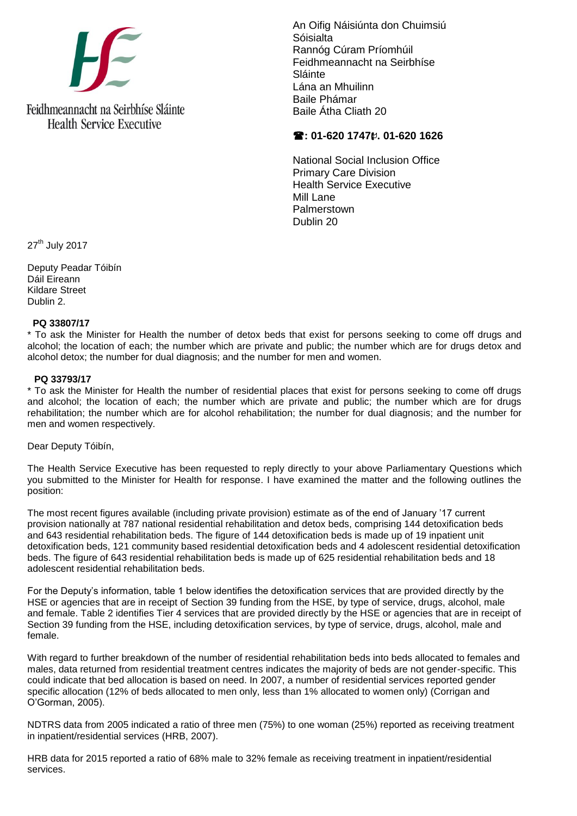

An Oifig Náisiúnta don Chuimsiú Sóisialta Rannóg Cúram Príomhúil Feidhmeannacht na Seirbhíse Sláinte Lána an Mhuilinn Baile Phámar Baile Átha Cliath 20

## **: 01-620 1747. 01-620 1626**

National Social Inclusion Office Primary Care Division Health Service Executive Mill Lane Palmerstown Dublin 20

27<sup>th</sup> July 2017

Deputy Peadar Tóibín Dáil Eireann Kildare Street Dublin 2.

## **PQ 33807/17**

\* To ask the Minister for Health the number of detox beds that exist for persons seeking to come off drugs and alcohol; the location of each; the number which are private and public; the number which are for drugs detox and alcohol detox; the number for dual diagnosis; and the number for men and women.

## **PQ 33793/17**

\* To ask the Minister for Health the number of residential places that exist for persons seeking to come off drugs and alcohol; the location of each; the number which are private and public; the number which are for drugs rehabilitation; the number which are for alcohol rehabilitation; the number for dual diagnosis; and the number for men and women respectively.

Dear Deputy Tóibín,

The Health Service Executive has been requested to reply directly to your above Parliamentary Questions which you submitted to the Minister for Health for response. I have examined the matter and the following outlines the position:

The most recent figures available (including private provision) estimate as of the end of January '17 current provision nationally at 787 national residential rehabilitation and detox beds, comprising 144 detoxification beds and 643 residential rehabilitation beds. The figure of 144 detoxification beds is made up of 19 inpatient unit detoxification beds, 121 community based residential detoxification beds and 4 adolescent residential detoxification beds. The figure of 643 residential rehabilitation beds is made up of 625 residential rehabilitation beds and 18 adolescent residential rehabilitation beds.

For the Deputy's information, table 1 below identifies the detoxification services that are provided directly by the HSE or agencies that are in receipt of Section 39 funding from the HSE, by type of service, drugs, alcohol, male and female. Table 2 identifies Tier 4 services that are provided directly by the HSE or agencies that are in receipt of Section 39 funding from the HSE, including detoxification services, by type of service, drugs, alcohol, male and female.

With regard to further breakdown of the number of residential rehabilitation beds into beds allocated to females and males, data returned from residential treatment centres indicates the majority of beds are not gender-specific. This could indicate that bed allocation is based on need. In 2007, a number of residential services reported gender specific allocation (12% of beds allocated to men only, less than 1% allocated to women only) (Corrigan and O'Gorman, 2005).

NDTRS data from 2005 indicated a ratio of three men (75%) to one woman (25%) reported as receiving treatment in inpatient/residential services (HRB, 2007).

HRB data for 2015 reported a ratio of 68% male to 32% female as receiving treatment in inpatient/residential services.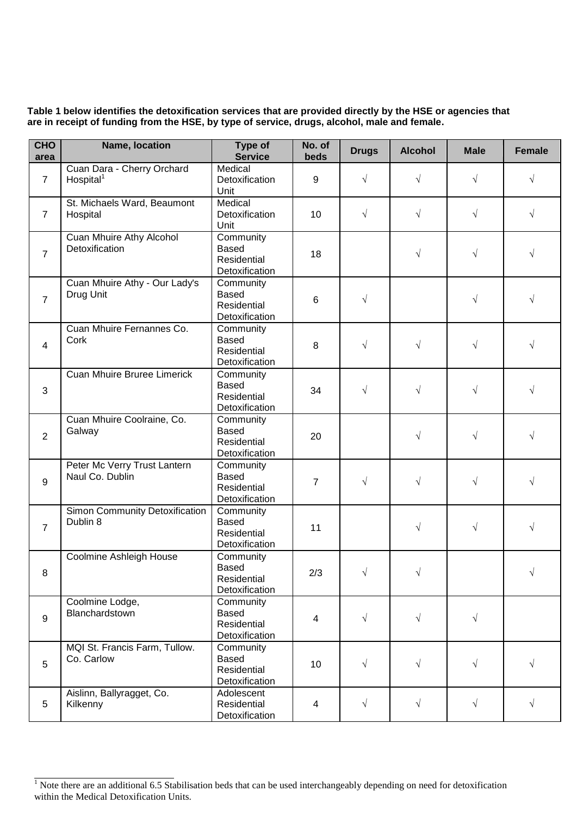**Table 1 below identifies the detoxification services that are provided directly by the HSE or agencies that are in receipt of funding from the HSE, by type of service, drugs, alcohol, male and female.**

| <b>CHO</b><br>area | Name, location                                      | Type of<br><b>Service</b>                                         | No. of<br>beds | <b>Drugs</b> | <b>Alcohol</b> | <b>Male</b> | <b>Female</b> |
|--------------------|-----------------------------------------------------|-------------------------------------------------------------------|----------------|--------------|----------------|-------------|---------------|
| $\overline{7}$     | Cuan Dara - Cherry Orchard<br>Hospital <sup>1</sup> | Medical<br>Detoxification<br>Unit                                 | 9              | $\sqrt{}$    | $\sqrt{ }$     | $\sqrt{ }$  | $\sqrt{}$     |
| $\overline{7}$     | St. Michaels Ward, Beaumont<br>Hospital             | Medical<br>Detoxification<br>Unit                                 | 10             | $\sqrt{}$    | $\sqrt{}$      | $\sqrt{}$   | $\sqrt{}$     |
| $\overline{7}$     | Cuan Mhuire Athy Alcohol<br>Detoxification          | Community<br><b>Based</b><br>Residential<br>Detoxification        | 18             |              | $\sqrt{}$      | $\sqrt{}$   | $\sqrt{}$     |
| $\overline{7}$     | Cuan Mhuire Athy - Our Lady's<br>Drug Unit          | Community<br><b>Based</b><br>Residential<br>Detoxification        | 6              | $\sqrt{}$    |                | $\sqrt{}$   | $\sqrt{}$     |
| $\overline{4}$     | Cuan Mhuire Fernannes Co.<br>Cork                   | Community<br><b>Based</b><br><b>Residential</b><br>Detoxification | 8              | $\sqrt{}$    | $\sqrt{}$      | $\sqrt{}$   | $\sqrt{}$     |
| 3                  | <b>Cuan Mhuire Bruree Limerick</b>                  | Community<br><b>Based</b><br>Residential<br>Detoxification        | 34             | $\sqrt{}$    | $\sqrt{}$      | $\sqrt{}$   | $\sqrt{}$     |
| $\overline{2}$     | Cuan Mhuire Coolraine, Co.<br>Galway                | Community<br><b>Based</b><br>Residential<br>Detoxification        | 20             |              | $\sqrt{}$      | $\sqrt{}$   | $\sqrt{}$     |
| 9                  | Peter Mc Verry Trust Lantern<br>Naul Co. Dublin     | Community<br><b>Based</b><br>Residential<br>Detoxification        | $\overline{7}$ | $\sqrt{}$    | $\sqrt{}$      | $\sqrt{}$   | $\sqrt{}$     |
| $\overline{7}$     | Simon Community Detoxification<br>Dublin 8          | Community<br><b>Based</b><br>Residential<br>Detoxification        | 11             |              | $\sqrt{}$      | $\sqrt{ }$  | $\sqrt{ }$    |
| 8                  | Coolmine Ashleigh House                             | Community<br>Based<br>Residential<br>Detoxification               | 2/3            |              |                |             |               |
| 9                  | Coolmine Lodge,<br>Blanchardstown                   | Community<br><b>Based</b><br>Residential<br>Detoxification        | $\overline{4}$ | $\sqrt{}$    | $\sqrt{}$      | $\sqrt{ }$  |               |
| 5                  | MQI St. Francis Farm, Tullow.<br>Co. Carlow         | Community<br><b>Based</b><br>Residential<br>Detoxification        | 10             | $\sqrt{}$    | $\sqrt{}$      | $\sqrt{ }$  | $\sqrt{}$     |
| 5                  | Aislinn, Ballyragget, Co.<br>Kilkenny               | Adolescent<br>Residential<br>Detoxification                       | 4              | $\sqrt{}$    | $\sqrt{ }$     | $\sqrt{ }$  | $\sqrt{}$     |

 $\frac{1}{1}$  Note there are an additional 6.5 Stabilisation beds that can be used interchangeably depending on need for detoxification within the Medical Detoxification Units.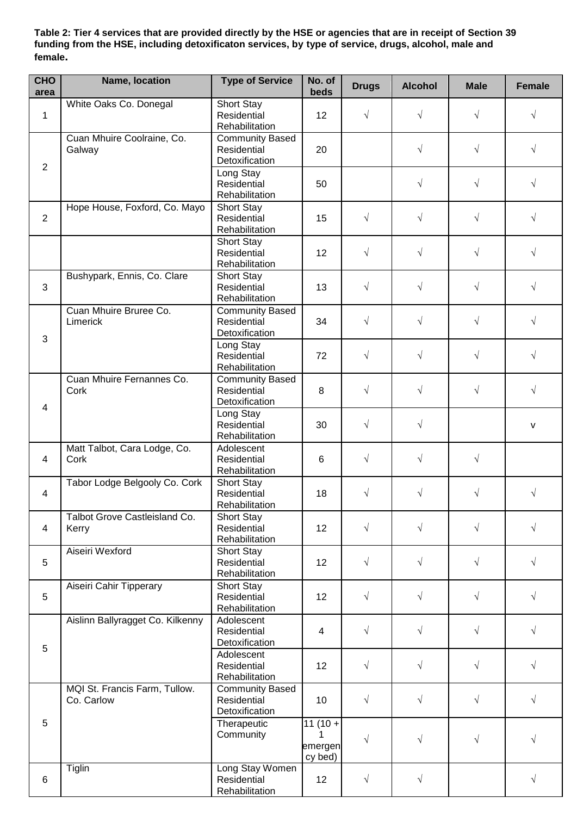**Table 2: Tier 4 services that are provided directly by the HSE or agencies that are in receipt of Section 39 funding from the HSE, including detoxificaton services, by type of service, drugs, alcohol, male and female.**

| <b>CHO</b><br>area      | Name, location                              | <b>Type of Service</b>                                  | No. of<br>beds                       | <b>Drugs</b> | <b>Alcohol</b> | <b>Male</b> | <b>Female</b> |
|-------------------------|---------------------------------------------|---------------------------------------------------------|--------------------------------------|--------------|----------------|-------------|---------------|
| $\mathbf{1}$            | White Oaks Co. Donegal                      | Short Stay<br>Residential<br>Rehabilitation             | 12                                   | $\sqrt{}$    | $\sqrt{}$      | $\sqrt{ }$  | $\sqrt{}$     |
| $\sqrt{2}$              | Cuan Mhuire Coolraine, Co.<br>Galway        | <b>Community Based</b><br>Residential<br>Detoxification | 20                                   |              | $\sqrt{}$      | $\sqrt{ }$  | $\sqrt{2}$    |
|                         |                                             | Long Stay<br>Residential<br>Rehabilitation              | 50                                   |              | $\sqrt{}$      | $\sqrt{ }$  | $\sqrt{}$     |
| $\overline{2}$          | Hope House, Foxford, Co. Mayo               | Short Stay<br>Residential<br>Rehabilitation             | 15                                   | $\sqrt{}$    | $\sqrt{}$      | $\sqrt{}$   | $\sqrt{}$     |
|                         |                                             | Short Stay<br>Residential<br>Rehabilitation             | 12                                   | $\sqrt{}$    | $\sqrt{}$      | $\sqrt{}$   | $\sqrt{}$     |
| 3                       | Bushypark, Ennis, Co. Clare                 | Short Stay<br>Residential<br>Rehabilitation             | 13                                   | $\sqrt{}$    | $\sqrt{}$      | $\sqrt{ }$  | $\sqrt{}$     |
| $\mathfrak{B}$          | Cuan Mhuire Bruree Co.<br>Limerick          | <b>Community Based</b><br>Residential<br>Detoxification | 34                                   | $\sqrt{}$    | $\sqrt{}$      | $\sqrt{}$   | $\sqrt{}$     |
|                         |                                             | Long Stay<br>Residential<br>Rehabilitation              | 72                                   | $\sqrt{}$    | $\sqrt{}$      | $\sqrt{ }$  | $\sqrt{}$     |
| $\overline{\mathbf{4}}$ | Cuan Mhuire Fernannes Co.<br>Cork           | <b>Community Based</b><br>Residential<br>Detoxification | 8                                    | $\sqrt{}$    | $\sqrt{}$      | $\sqrt{ }$  | $\sqrt{}$     |
|                         |                                             | Long Stay<br>Residential<br>Rehabilitation              | 30                                   | $\sqrt{}$    | $\sqrt{}$      |             | v             |
| $\overline{4}$          | Matt Talbot, Cara Lodge, Co.<br>Cork        | Adolescent<br>Residential<br>Rehabilitation             | 6                                    | $\sqrt{}$    | $\sqrt{}$      | $\sqrt{}$   |               |
| $\overline{\mathbf{4}}$ | Tabor Lodge Belgooly Co. Cork               | Short Stay<br>Residential<br>Rehabilitation             | 18                                   | $\sqrt{}$    | $\sqrt{}$      | $\sqrt{ }$  | $\sqrt{}$     |
| $\overline{4}$          | Talbot Grove Castleisland Co.<br>Kerry      | Short Stay<br>Residential<br>Rehabilitation             | 12                                   | $\sqrt{}$    | $\sqrt{ }$     | $\sqrt{ }$  | $\sqrt{}$     |
| 5                       | Aiseiri Wexford                             | Short Stay<br>Residential<br>Rehabilitation             | 12                                   | $\sqrt{}$    | $\sqrt{}$      | $\sqrt{ }$  | $\sqrt{}$     |
| 5                       | Aiseiri Cahir Tipperary                     | Short Stay<br>Residential<br>Rehabilitation             | 12                                   | $\sqrt{}$    | $\sqrt{}$      | $\sqrt{}$   | $\sqrt{}$     |
| 5                       | Aislinn Ballyragget Co. Kilkenny            | Adolescent<br>Residential<br>Detoxification             | 4                                    | $\sqrt{}$    | $\sqrt{}$      | $\sqrt{}$   | $\sqrt{}$     |
|                         |                                             | Adolescent<br>Residential<br>Rehabilitation             | 12                                   | $\sqrt{}$    | $\sqrt{}$      | $\sqrt{ }$  | $\sqrt{}$     |
|                         | MQI St. Francis Farm, Tullow.<br>Co. Carlow | <b>Community Based</b><br>Residential<br>Detoxification | 10                                   | $\sqrt{}$    | $\sqrt{}$      | $\sqrt{}$   | $\sqrt{}$     |
| 5                       |                                             | Therapeutic<br>Community                                | $11(10 +$<br>1<br>emergen<br>cy bed) | $\sqrt{}$    | $\sqrt{}$      | $\sqrt{}$   | $\sqrt{}$     |
| $\,6$                   | Tiglin                                      | Long Stay Women<br>Residential<br>Rehabilitation        | 12                                   | $\sqrt{}$    | $\sqrt{}$      |             | $\sqrt{2}$    |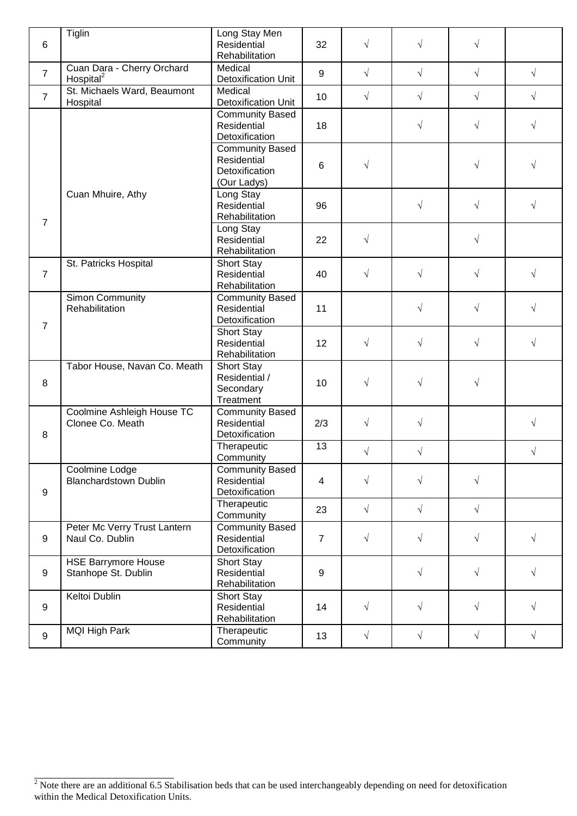| 6                | <b>Tiglin</b>                                       | Long Stay Men<br>Residential<br>Rehabilitation                         | 32                      | $\sqrt{}$  | $\sqrt{}$  | $\sqrt{}$  |            |
|------------------|-----------------------------------------------------|------------------------------------------------------------------------|-------------------------|------------|------------|------------|------------|
| $\overline{7}$   | Cuan Dara - Cherry Orchard<br>Hospital <sup>2</sup> | Medical<br><b>Detoxification Unit</b>                                  | 9                       | $\sqrt{}$  | $\sqrt{}$  | $\sqrt{}$  | $\sqrt{ }$ |
| $\overline{7}$   | St. Michaels Ward, Beaumont<br>Hospital             | Medical<br><b>Detoxification Unit</b>                                  | 10                      | $\sqrt{}$  | $\sqrt{}$  | $\sqrt{}$  | $\sqrt{ }$ |
|                  |                                                     | <b>Community Based</b><br>Residential<br>Detoxification                | 18                      |            | $\sqrt{}$  | $\sqrt{}$  | $\sqrt{ }$ |
|                  |                                                     | <b>Community Based</b><br>Residential<br>Detoxification<br>(Our Ladys) | 6                       | $\sqrt{2}$ |            | √          | $\sqrt{}$  |
| $\overline{7}$   | Cuan Mhuire, Athy                                   | Long Stay<br>Residential<br>Rehabilitation                             | 96                      |            | $\sqrt{}$  | $\sqrt{}$  | $\sqrt{}$  |
|                  |                                                     | Long Stay<br>Residential<br>Rehabilitation                             | 22                      | $\sqrt{}$  |            | $\sqrt{}$  |            |
| $\overline{7}$   | St. Patricks Hospital                               | Short Stay<br>Residential<br>Rehabilitation                            | 40                      | $\sqrt{}$  | $\sqrt{}$  | $\sqrt{}$  | $\sqrt{}$  |
| $\overline{7}$   | Simon Community<br>Rehabilitation                   | <b>Community Based</b><br>Residential<br>Detoxification                | 11                      |            | $\sqrt{}$  | $\sqrt{}$  | $\sqrt{ }$ |
|                  |                                                     | Short Stay<br>Residential<br>Rehabilitation                            | 12                      | $\sqrt{}$  | $\sqrt{}$  | $\sqrt{}$  | $\sqrt{}$  |
| $\, 8$           | Tabor House, Navan Co. Meath                        | Short Stay<br>Residential /<br>Secondary<br>Treatment                  | 10                      | $\sqrt{}$  | $\sqrt{}$  | $\sqrt{}$  |            |
| 8                | Coolmine Ashleigh House TC<br>Clonee Co. Meath      | <b>Community Based</b><br>Residential<br>Detoxification                | 2/3                     | $\sqrt{}$  | $\sqrt{}$  |            | $\sqrt{ }$ |
|                  |                                                     | Therapeutic<br>Community                                               | 13                      | $\sqrt{}$  | $\sqrt{}$  |            | $\sqrt{}$  |
| $\boldsymbol{9}$ | Coolmine Lodge<br><b>Blanchardstown Dublin</b>      | <b>Community Based</b><br>Residential<br>Detoxification                | $\overline{\mathbf{4}}$ | $\sqrt{}$  | $\sqrt{ }$ | $\sqrt{ }$ |            |
|                  |                                                     | Therapeutic<br>Community                                               | 23                      | $\sqrt{ }$ | $\sqrt{ }$ | $\sqrt{ }$ |            |
| $\boldsymbol{9}$ | Peter Mc Verry Trust Lantern<br>Naul Co. Dublin     | <b>Community Based</b><br><b>Residential</b><br>Detoxification         | $\overline{7}$          | $\sqrt{ }$ | $\sqrt{ }$ | $\sqrt{ }$ | $\sqrt{ }$ |
| $\boldsymbol{9}$ | <b>HSE Barrymore House</b><br>Stanhope St. Dublin   | Short Stay<br>Residential<br>Rehabilitation                            | 9                       |            | $\sqrt{}$  | $\sqrt{}$  | $\sqrt{ }$ |
| $\boldsymbol{9}$ | Keltoi Dublin                                       | <b>Short Stay</b><br>Residential<br>Rehabilitation                     | 14                      | $\sqrt{}$  | $\sqrt{}$  | $\sqrt{}$  | $\sqrt{}$  |
| $\boldsymbol{9}$ | <b>MQI High Park</b>                                | Therapeutic<br>Community                                               | 13                      | $\sqrt{ }$ | $\sqrt{ }$ | $\sqrt{ }$ | $\sqrt{ }$ |

 $2\overline{R}$  Note there are an additional 6.5 Stabilisation beds that can be used interchangeably depending on need for detoxification within the Medical Detoxification Units.